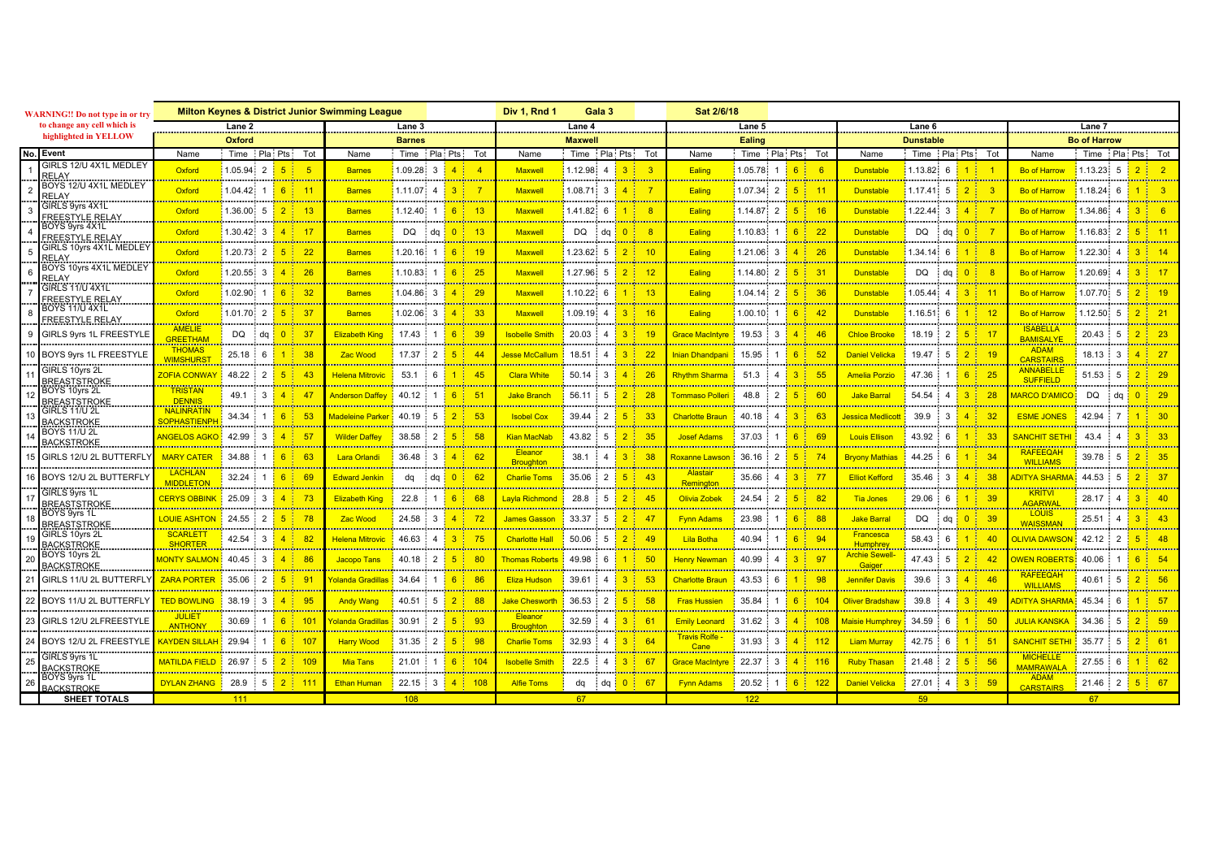| <b>WARNING!! Do not type in or try</b><br>to change any cell which is |                                         | <b>Milton Keynes &amp; District Junior Swimming League</b> |                                   |                                                         |                                                           |                              |                                                                           | Div 1. Rnd 1<br>Gala 3                                                                                                                         |                         |                                              | Sat 2/6/18                                                           |                           |                                                           |                                                     |                                                                                |                                                                |                                |  |
|-----------------------------------------------------------------------|-----------------------------------------|------------------------------------------------------------|-----------------------------------|---------------------------------------------------------|-----------------------------------------------------------|------------------------------|---------------------------------------------------------------------------|------------------------------------------------------------------------------------------------------------------------------------------------|-------------------------|----------------------------------------------|----------------------------------------------------------------------|---------------------------|-----------------------------------------------------------|-----------------------------------------------------|--------------------------------------------------------------------------------|----------------------------------------------------------------|--------------------------------|--|
|                                                                       |                                         | Lane 2                                                     |                                   |                                                         | Lane 3                                                    |                              |                                                                           | Lane 4                                                                                                                                         |                         |                                              | Lane 5                                                               |                           |                                                           |                                                     | Lane 6                                                                         | Lane 7                                                         |                                |  |
| highlighted in YELLOW                                                 |                                         | <b>Oxford</b>                                              |                                   | <b>Barnes</b>                                           |                                                           |                              | <b>Maxwell</b>                                                            |                                                                                                                                                |                         | Ealing                                       |                                                                      |                           |                                                           | <b>Dunstable</b>                                    | <b>Bo of Harrow</b>                                                            |                                                                |                                |  |
| No.                                                                   | Event<br>GIRLS 12/U 4X1L MEDLEY         | Name                                                       | Time Pla Pts Tot                  |                                                         | Name                                                      |                              | Time Pla Pts Tot                                                          | Name                                                                                                                                           | Time Pla Pts Tot        |                                              | Name                                                                 | Time Pla Pts Tot          |                                                           | Name                                                | Time Pla Pts<br>Tot                                                            | Name                                                           | Time Pla Pts Tot               |  |
|                                                                       |                                         | Oxford<br><u> Albanya Manazarta</u>                        | 1.05.94<br>$2^{\frac{1}{2}}$<br>. | -5<br><u> 1989 - Johann Barn, amerikansk fotograf (</u> | <b>Barnes</b><br><u> Albanya a San</u>                    | 1.09.28 3 <mark>1</mark>     | 4 <sup>1</sup><br><u>manufacture</u>                                      | <b>Maxwell</b>                                                                                                                                 | 1.12.98 4<br>.          | $\overline{3}$                               | Ealing<br><u> Tanzania (</u>                                         | $1.05.78$ 1 6             | - 6                                                       | <b>Dunstable</b><br><u> Tanzania (</u>              | 1<br>$1.13.82 \quad 6$<br>a sa sa sa salah sa sa t <mark>agamat kacam</mark> a | <b>Bo of Harrow</b>                                            | $1.13.23$ 5                    |  |
|                                                                       | BOYS 12/U 4X1L MEDLEY<br><u>RELAY</u>   | Oxford                                                     | .04.42<br>1.                      | 11<br>$\epsilon$                                        | <b>Barnes</b>                                             | .11.07<br>$\mathbf{\Lambda}$ |                                                                           | <b>Maxwell</b>                                                                                                                                 | .08.71<br>$\mathbf{B}$  |                                              | Ealing                                                               | 1.07.34<br>$\overline{2}$ | 5 <sup>1</sup>                                            | <b>Dunstable</b>                                    | $\overline{2}$<br>$1.17.41$ 5                                                  | <b>Bo of Harrow</b>                                            | .18.24<br>6                    |  |
|                                                                       | GIRLS 9yrs 4X1L                         | Oxford                                                     | .36.00<br>-5                      | <b>The Committee of Committee</b>                       | <b>Barnes</b>                                             | $12.40 \quad 1$              | 6                                                                         | <b>Maxwell</b>                                                                                                                                 | $1.41.82 \quad 6$       |                                              | Ealing                                                               | 1.14.872                  | <b>CONTRACTOR</b><br>16                                   | <b>Dunstable</b>                                    | $.22.44 \quad 3$<br>$\mathbf{A}$                                               | <b>Bo of Harrow</b>                                            | .34.86                         |  |
|                                                                       | <b>REESTYLE RELAY</b><br>BOYS 9yrs 4X1L | .                                                          |                                   | <b>The Committee of Committee</b>                       |                                                           |                              | <u> 1989 - Johann Barns</u>                                               |                                                                                                                                                |                         |                                              | <b>CONTRACTOR</b>                                                    |                           | <b>The Company of Company</b>                             |                                                     | .<br><b>CONTRACTOR</b>                                                         |                                                                |                                |  |
|                                                                       | <b>FREESTYLE RELAY</b>                  | Oxford                                                     | $.30.42 \quad 3$                  | 17                                                      | <b>Barnes</b>                                             | DQ da                        | $-13$                                                                     | <b>Maxwell</b>                                                                                                                                 | DQ<br>$\cdot$ da        | -8                                           | Ealing                                                               | $.10.83 \quad 1$          | 22                                                        | <b>Dunstable</b>                                    | 0 <sup>1</sup><br>DQ.<br>da<br><b>Service</b>                                  | <b>Bo of Harroy</b>                                            | .16.83<br>$\mathcal{P}$        |  |
|                                                                       | GIRLS 10yrs 4X1L MEDLEY<br>RELAY        | Oxford<br><u> Albanya Manazarta</u>                        | $.20.73 \quad 2 \quad$<br>.       | 22<br>5 <sup>1</sup><br><u>and and an</u>               | <b>Barnes</b><br><b><i><u>Alexandrian Control</u></i></b> | $.20.16$ 1                   | 6  <br>$-19$<br><u>a sa salah sahiji désa di kacamatan </u>               | <b>Maxwell</b><br><u> 2002 - 2003 - 200</u>                                                                                                    | $1.23.62 \quad 5$       | 2 <sup>1</sup><br>10                         | Ealing                                                               | $1.21.06 \quad 3$         | 4 <sup>1</sup><br>26<br><b>Contract Contract Contract</b> | Dunstable<br><u> Antonio Antonio Antonio Ant</u>    | $1.34.14 \quad 6$<br>$1 -$<br><b><i><u>Alexandrian Contractor</u></i></b>      | <b>Bo of Harrow</b><br><u> 2000 - 2000 - 2000 - 2000 - 200</u> | 1.22.30                        |  |
|                                                                       | BOYS 10yrs 4X1L MEDLEY                  | Oxford                                                     | $.20.55 \quad 3$                  | 26                                                      | <b>Rames</b>                                              | .10.83 1 <mark>.</mark>      | 25                                                                        | <b>Maxwel</b>                                                                                                                                  | .27.96<br>-5            |                                              | Ealing                                                               | .14.80<br>$\overline{2}$  | 31                                                        | <b>Dunstabl</b>                                     | 0 <sup>1</sup><br><b>DQ</b><br>da                                              | <b>Bo of Harrow</b>                                            | .20.69                         |  |
|                                                                       | RELAY<br>GIRLS 11/U 4X1L                | an an Dùbhlach<br>Oxford                                   | .02.90<br>1 <sub>1</sub>          | 32<br>$\epsilon$                                        | <b>Barnes</b>                                             | $.04.86 \quad 3$             | <u>manistra e co</u><br>4 <sup>1</sup><br>29                              | <u> Tanzania (</u><br><b>Maxwel</b>                                                                                                            | 1.10.22<br>6            | 13                                           | Ealing                                                               | 1.04.14<br>2              | 36                                                        | <b>Dunstable</b>                                    | 3 <sup>1</sup><br>.05.44<br>4 <sup>1</sup>                                     | .<br><b>Bo of Harrow</b>                                       | 1.07.70<br>-5                  |  |
|                                                                       | FREESTYLE RELAY<br>BOYS 11/U 4X1L       | <u>mana mana</u>                                           |                                   | <b>CONTRACTOR</b>                                       | <u>mana manana</u>                                        |                              | <b>CONTRACTOR</b>                                                         |                                                                                                                                                |                         | <b>DESCRIPTION</b>                           | <u>mana ma</u>                                                       |                           | <b>CONTRACTOR</b>                                         | <u>mana mana</u>                                    | <b>CONTRACTOR</b>                                                              | <u>mana manana</u>                                             |                                |  |
|                                                                       | <u>FREESTYLE RELAY</u>                  | Oxford                                                     | .01.70<br>$2^{\frac{1}{2}}$       | 37<br><b>CONTRACTOR</b>                                 | <b>Barnes</b>                                             | .02.06 3<br>. <b>.</b>       | 33<br><b>CONTRACTOR</b>                                                   | <b>Maxwel</b><br><b>DE L'ANGELIA DE L'ANGEL</b>                                                                                                | .09.19<br>$\Delta$      |                                              | Ealing                                                               | .00.10                    | 6                                                         | <b>Dunstabl</b>                                     | $1.16.51 \quad 6$                                                              | <b>Bo of Harrow</b><br><u> Alban Andrewski</u>                 | .12.50<br>-5                   |  |
|                                                                       | GIRLS 9yrs 1L FREESTYLE                 | <b>AMELIE</b><br>REETHAM                                   | <b>DQ</b><br>da <mark>l</mark>    | 0 <sup>1</sup><br>37<br><u>an an Aonaichte an </u>      | <b>Elizabeth King</b>                                     | 17.43                        | -39<br>6<br><b>Contract Contractor</b>                                    | <b>Isobelle Smit</b>                                                                                                                           | 20.03<br>$\Lambda$      | <b>Continued States</b>                      | <u> Srace MacIntvre</u>                                              |                           |                                                           | <b>Chloe Brook</b>                                  | $\mathcal{P}$<br>18.19<br>5                                                    | <b>ISABELLA</b><br><b>BAMISALYE</b>                            | 20.43<br>5<br>                 |  |
|                                                                       | BOYS 9yrs 1L FREESTYLE                  | <b>THOMAS</b><br><b>WIMSHURS</b>                           | 25.18<br>6                        | 38                                                      | <b>Zac Wood</b>                                           | 17.37<br>2                   | 44                                                                        | Jesse McCallum                                                                                                                                 | 18.51                   |                                              | nian Dhandpani                                                       | 15.95                     |                                                           | <b>Daniel Velicka</b>                               | 5<br>19.47                                                                     | <b>ADAM</b><br><b>CARSTAIRS</b>                                | 3<br>18.13<br>4 <sup>1</sup>   |  |
|                                                                       | GIRLS 10yrs 2L                          | <b>ZOFIA CONWAY</b>                                        | 48.22<br>$\mathcal{P}$            | 43                                                      | Helena Mitrovic                                           | 53.1                         | 45                                                                        | <b>Clara White</b>                                                                                                                             | 50.14<br>$\mathcal{R}$  | 26                                           | <b>Rhythm Sharma</b>                                                 | 51.3                      |                                                           | <b>Amelia Porzio</b>                                | 6<br>47.36<br>25                                                               | <b>ANNABELLE</b>                                               | .<br>51.53<br>5                |  |
|                                                                       | REASTSTROKE<br>BOYS 10yrs 2L            | .<br><b>TRISTAN</b>                                        | 49.1<br>3 <sup>1</sup>            | 4 <sup>1</sup><br>47                                    | <b>Anderson Daffey</b>                                    | $40.12$ :                    | 6 <sup>1</sup><br>$-5^{\circ}$                                            | <u> 1950 - De Brasilia e Brasilia e Br</u><br><b>Jake Branch</b>                                                                               | 56.11<br>-5             | 28                                           | Tommaso Polleri                                                      | $\mathcal{P}$<br>48.8     | 5 <sup>1</sup>                                            | <b>Jake Barral</b>                                  | $3-1$<br>54.54<br>28<br>$\overline{A}$                                         | <b>SUFFIELD</b><br><b>IARCO D'AMICO</b>                        | DO.<br>da <mark>0 l</mark>     |  |
|                                                                       | <u>REASTSTROKE</u><br>GIRLS 11/U 2L     | DENNIS<br><br><b>NALINRATIN</b>                            |                                   |                                                         |                                                           |                              |                                                                           | <u> Alexandria de Alexandria de A</u>                                                                                                          |                         |                                              |                                                                      |                           |                                                           |                                                     |                                                                                | <u> Alexandria de Alexandria de </u>                           |                                |  |
|                                                                       | <b>ACKSTROKE</b>                        | <b>SOPHASTIENP</b>                                         | 34.34                             | 6<br>-53                                                | Madeleine Parker                                          | 40.19<br>-5                  | -53                                                                       | <b>Isobel Cox</b><br><u> Albanya a Santana a</u>                                                                                               | 39.44<br>$\mathcal{P}$  | 5 <sup>1</sup><br>-33                        | Charlotte Braun                                                      | 40 18                     |                                                           | lessica Medlicol                                    | $\mathbf{A}$<br>39.9<br>3                                                      | <b>ESME JONES</b>                                              | 42.94                          |  |
|                                                                       | BOYS 11/U 2L<br>BACKSTROKE              | <b>ANGELOS AGKO</b>                                        | 42.99<br>3 <sup>1</sup>           | 57<br>4 <sup>1</sup>                                    | <b>Wilder Daffey</b>                                      | 38.58 2                      | $-58$<br>5 <sup>1</sup>                                                   | <b>Kian MacNab</b>                                                                                                                             | 43.82 5                 |                                              | <b>Josef Adams</b>                                                   | $37.03 \pm 1$             | 6 1<br>-69                                                | <b>Louis Ellison</b>                                | 43.92<br>1 <sup>1</sup><br>6                                                   | SANCHIT SETH                                                   | 43.4<br>$\boldsymbol{\Lambda}$ |  |
|                                                                       | GIRLS 12/U 2L BUTTERFL'                 | <b>MARY CATER</b>                                          | 34.88                             | <b>Constitution of the Constitution</b><br>63           | <b>Lara Orlandi</b>                                       | 36.48<br>3 J                 | <b><i>Contract Contract Contract Contract</i></b><br>62<br>4 <sup>1</sup> | Eleanor                                                                                                                                        | 38.1                    | 38                                           | toxanne Lawson                                                       | 36.16<br>$\overline{2}$   | <b>Continued Services</b><br>5.                           | <b>Brvony Mathias</b>                               | 44.25<br>34<br>6                                                               | <b>RAFEEQAH</b>                                                | 39.78<br>$\sqrt{5}$            |  |
|                                                                       | BOYS 12/U 2L BUTTERFL'                  | .<br><b>LACHLAN</b>                                        | 32.24                             | <b>CONTRACTOR</b><br>69                                 | <b>Edward Jenkin</b>                                      | da<br>da l                   | 0 <sup>1</sup><br>-62                                                     | <mark>Broughton</mark><br><b>Charlie Toms</b>                                                                                                  | 35.06<br>$\overline{2}$ |                                              | <del>.</del><br><b>Alastair</b>                                      | 35.66<br>$\Delta$         | $3^{\circ}$<br>$-77$                                      | <b>Elliot Kefford</b>                               | <u>a shekara ta 1989 a ƙasar I</u><br>35.46<br>3<br>$\boldsymbol{\Lambda}$     | <mark>MILLIAMS</mark><br>DITYA SHARM                           | 44.53                          |  |
|                                                                       | GIRLS 9yrs 1L                           | <b>MIDDLETON</b>                                           |                                   | <b>CONTRACTOR</b>                                       |                                                           |                              | . <del>.</del>                                                            |                                                                                                                                                |                         |                                              | <mark>Remington</mark>                                               |                           |                                                           |                                                     |                                                                                | <del>.</del><br><b>KRITVI</b>                                  |                                |  |
|                                                                       | REASTSTROKE                             | <b>CERYS OBBINK</b><br>.                                   | 25.09<br>$\mathcal{R}$            | $-73$                                                   | <b>Elizabeth King</b>                                     | 22.8                         | -68<br>6 <sup>1</sup>                                                     | <b>Layla Richmond</b><br><u> Alexandria de Alexandria de Alexandria de Alexandria de Alexandria de Alexandria de Alexandria de Alexandria </u> | 28.8<br>-5              | 45                                           | <b>Olivia Zobek</b><br><u> Alban Maria Ma</u>                        | $\overline{2}$<br>24.54   |                                                           | <b>Tia Jones</b><br>.                               | 29.06<br>6                                                                     | AGARWAL                                                        | 28.17                          |  |
|                                                                       | BOYS 9yrs 1L<br><b>BREASTSTROKE</b>     | LOUIE ASHTON I                                             | 24.55<br>2 <sup>1</sup>           | - 78                                                    | <b>Zac Wood</b>                                           | 24.58 3 <mark>1</mark>       | - 72<br>4 <sup>1</sup>                                                    | <b>James Gasson</b>                                                                                                                            | 33.37<br>-5             | $2^+$<br>-47                                 | <b>Fynn Adams</b><br><u> Albanya Manazarta</u>                       | 23.98                     | 6  <br>-88                                                | <b>Jake Barral</b><br><u> Alexandria Alexandria</u> | DQ<br>0 <sup>1</sup><br>39<br>dq                                               | <b>LOUIS</b><br><b>WAISSMAN</b>                                | 25.51<br>3 L<br>$\overline{4}$ |  |
|                                                                       | GIRLS 10yrs 2L<br><b>BACKSTROKE</b>     | <b>SCARLET</b><br>SHORTER                                  | 42.54<br>3 I                      | 82                                                      | <u> Helena Mitrovic</u>                                   | 46.63 4                      | - 75<br>3 <sup>1</sup>                                                    | <b>Charlotte Hall</b>                                                                                                                          | 50.06<br>-5             |                                              | <b>Lila Botha</b>                                                    | 40.94                     | 6 1<br>94                                                 | Francesca                                           | 58.43<br>6                                                                     | <b>DLIVIA DAWSC</b>                                            | 42.12                          |  |
|                                                                       | BOYS 10yrs 2L                           | <b>MONTY SALMON</b>                                        | 40.45<br>3                        | diam'r.<br>86                                           | Jacopo Tans                                               | $\overline{2}$<br>40.18      | 80                                                                        | <b>Thomas Roberts</b>                                                                                                                          | 49.98<br>6              | 50                                           | <u>Henry Newman</u>                                                  | 40.99                     |                                                           | Humphrey<br><b>Archie Sewell</b>                    | 47.43<br>5                                                                     | <b>WEN ROBER</b>                                               | 40.06                          |  |
|                                                                       | <b>BACKSTROKE</b>                       |                                                            |                                   | <b>CONTRACTOR</b>                                       |                                                           |                              | . <del>.</del> <mark>.</mark>                                             | .                                                                                                                                              |                         | <b>CONTRACTOR</b>                            |                                                                      |                           |                                                           |                                                     |                                                                                | <mark>mananan manan</mark><br><b>RAFEEQAI</b>                  | .                              |  |
|                                                                       | GIRLS 11/U 2L BUTTERFL                  | <b>ZARA PORTER</b>                                         | 35.06                             | 91                                                      | olanda Gradillas                                          | 34.64:1                      | 86                                                                        | <b>Eliza Hudson</b>                                                                                                                            | 39.61                   |                                              | Charlotte Braun                                                      | $43.53 \t 6$              |                                                           | <b>Jennifer Davis</b>                               | 39.6<br>3<br>$\mathbf{A}$                                                      | <b>WILLIAMS</b>                                                | 40.61                          |  |
|                                                                       | BOYS 11/U 2L BUTTERFL'                  | <b>TED BOWLING</b>                                         | 38.19<br>$\mathcal{R}$            | 95                                                      | <b>Andy Wang</b>                                          | 40.51<br>-5                  | $-88$                                                                     | <b>Jake Chesworth</b><br><u> Alban Maria Maria Maria Ma</u>                                                                                    | 36.53<br>$\overline{2}$ | $-58$                                        | <b>Fras Hussier</b>                                                  | 35.84                     | 6                                                         | <b>Oliver Bradshaw</b>                              | 39.8<br>Δ<br>$\Lambda$                                                         | <b>DITYA SHARM</b>                                             | 45.34<br>6                     |  |
|                                                                       | GIRLS 12/U 2LFREESTYLE                  | <b>JULIET</b><br><b>ANTHONY</b>                            | 30.69                             | 10 <sup>1</sup><br><b>R</b>                             | Colanda Gradillas                                         | 30.91<br>2                   | -93                                                                       | <b>Eleanor</b><br>Broughton                                                                                                                    | $32.59 \div 4$          | $-62$                                        | <b>Emily Leonard</b>                                                 | $31.62 \quad 3$           |                                                           | Maisie Humphrey <b>L</b>                            | 34.59<br>ĥ                                                                     | <b>JULIA KANSKA</b>                                            | 34.36<br>.5                    |  |
|                                                                       | BOYS 12/U 2L FREESTYLI                  | AYDEN SILLAF                                               | 29.94                             | 107                                                     | <b>Harry Wood</b>                                         | 31.35                        | 98                                                                        | <b>Charlie Toms</b>                                                                                                                            | 32.93                   | 64                                           | <u> Alexander and Alexander and Alexander</u><br><b>Travis Rolfe</b> | 31.93                     |                                                           | <b>Liam Murray</b>                                  | 42.75<br>-51                                                                   | <b>SANCHIT SET</b>                                             | 35.77                          |  |
|                                                                       | GIRLS 9yrs 1L                           | <b>MATILDA FIELD</b>                                       | 26.97<br>$5 -$                    | 10 <sub>5</sub>                                         | <b>Mia Tans</b>                                           | 21.01:1                      | 10 <sup>2</sup><br>6 <sup>1</sup>                                         | <u> Alexandria de Alexandria de </u><br><b>Isobelle Smith</b>                                                                                  | 22.5<br>: 4             | <b>CONTRACTOR</b><br>3 <sup>1</sup><br>$-67$ | <b>Grace MacIntyre</b>                                               | 22.37<br>$\ddot{3}$       | $4^{\circ}$<br>116                                        | <b>Ruby Thasan</b>                                  | 5 <sup>1</sup><br>$\mathcal{P}$<br>21.48                                       | <b>MICHELLE</b>                                                | 27.55<br>6                     |  |
|                                                                       | ACKSTROKE<br>BOYS 9yrs 1L               |                                                            |                                   | <b>The Committee of the Committee</b>                   |                                                           | .                            |                                                                           | .                                                                                                                                              |                         | <b>The Company of Company</b>                |                                                                      |                           | <b>CONTRACTOR</b>                                         |                                                     | <b>The Committee of Committee</b>                                              | MAMRAWALA 21.33<br><b>ADAM</b>                                 | . <del>.</del>                 |  |
|                                                                       | <b>BACKSTROKE</b>                       | DYLAN ZHANG                                                | 28.9<br>$5 \cdot$                 | $2^{111}$                                               | <b>Ethan Human</b>                                        | $22.15 \quad 3$              | 4 108                                                                     | <b>Alfie Toms</b>                                                                                                                              | dq<br>dq <mark>i</mark> | $0 \t 67$                                    | <b>Fynn Adams</b>                                                    | 20.52 1                   | $6 \t122$                                                 | <b>Daniel Velicka</b>                               | 27.01<br>3 <sup>1</sup><br>- 59<br>$\overline{4}$                              | <b>CARSTAIRS</b>                                               | $21.46$ 2<br>5 <sup>1</sup>    |  |
|                                                                       | SHEET TOTALS                            | 111                                                        |                                   |                                                         | 108                                                       |                              |                                                                           | 67                                                                                                                                             |                         |                                              |                                                                      | 122                       |                                                           |                                                     | 59                                                                             | 67                                                             |                                |  |